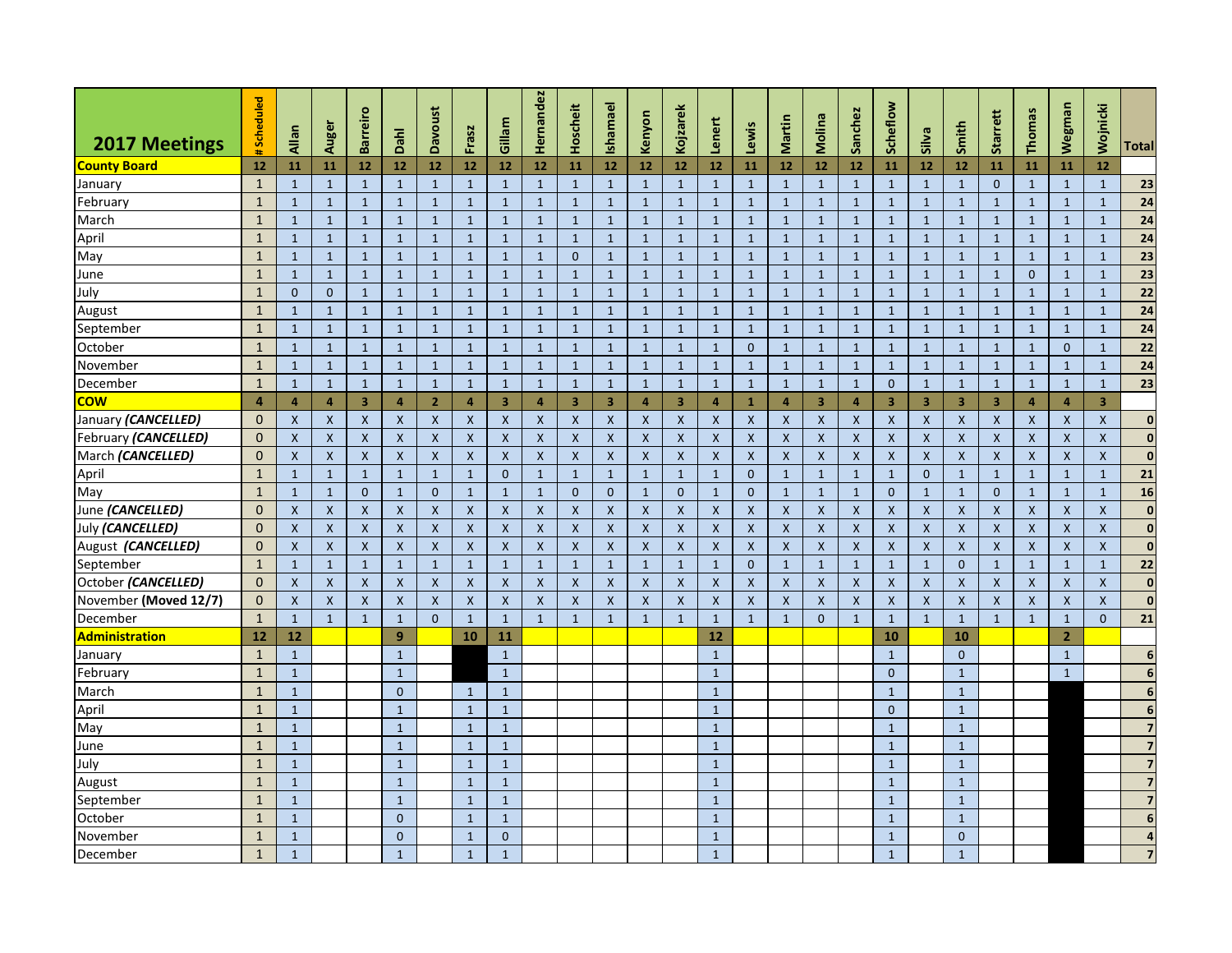|                       | Scheduled      |                           |                           | <b>Barreiro</b>         |                           | <b>Davoust</b> |                           | Gillam                    | Hernandez      | Hoscheit                  | Ishamael                | Kenyon             | Kojzarek       | Lenert                    |                           | Martin             | Molina                    | Sanchez        | Scheflow                |                |                         | <b>Starrett</b>           | Thomas             | <b>Wegman</b>             | Wojnicki                |                         |
|-----------------------|----------------|---------------------------|---------------------------|-------------------------|---------------------------|----------------|---------------------------|---------------------------|----------------|---------------------------|-------------------------|--------------------|----------------|---------------------------|---------------------------|--------------------|---------------------------|----------------|-------------------------|----------------|-------------------------|---------------------------|--------------------|---------------------------|-------------------------|-------------------------|
| 2017 Meetings         |                | Allan                     | Auger                     |                         | Dahl                      |                | Frasz                     |                           |                |                           |                         |                    |                |                           | Lewis                     |                    |                           |                |                         | Silva          | Smith                   |                           |                    |                           |                         | <b>Total</b>            |
| <b>County Board</b>   | 12             | 11                        | 11                        | 12                      | 12                        | 12             | 12                        | 12                        | 12             | 11                        | 12                      | 12                 | 12             | 12                        | 11                        | 12                 | 12                        | 12             | 11                      | 12             | 12                      | 11                        | 11                 | 11                        | 12                      |                         |
| January               | $\mathbf{1}$   | $\mathbf{1}$              | $\mathbf{1}$              | $\mathbf{1}$            | $\mathbf{1}$              | $\mathbf{1}$   | $\mathbf{1}$              | $\mathbf{1}$              | $\mathbf{1}$   | $\mathbf{1}$              | $\mathbf{1}$            | $\mathbf{1}$       | $\mathbf{1}$   | $\mathbf{1}$              | $\mathbf{1}$              | $\mathbf{1}$       | $\mathbf{1}$              | $\mathbf{1}$   | $\mathbf{1}$            | $\mathbf{1}$   | $\mathbf{1}$            | $\mathbf{0}$              | $\mathbf{1}$       | $\mathbf{1}$              | $\mathbf{1}$            | 23                      |
| February              | $\mathbf{1}$   | $\mathbf{1}$              | $\mathbf{1}$              | $\mathbf{1}$            | $\mathbf{1}$              | $\mathbf{1}$   | $\mathbf{1}$              | $\mathbf{1}$              | $\mathbf{1}$   | $\mathbf{1}$              | $\mathbf{1}$            | $\mathbf{1}$       | $\mathbf{1}$   | $\mathbf{1}$              | $\mathbf{1}$              | $\mathbf{1}$       | $\mathbf{1}$              | $\mathbf{1}$   | $\mathbf{1}$            | $\mathbf{1}$   | $\mathbf{1}$            | $\mathbf{1}$              | $\mathbf{1}$       | $\mathbf{1}$              | $\mathbf{1}$            | 24                      |
| March                 | $\overline{1}$ | $\mathbf{1}$              | $\mathbf{1}$              | $\mathbf{1}$            | $\mathbf{1}$              | $\mathbf{1}$   | $\mathbf{1}$              | $\mathbf{1}$              | $\mathbf{1}$   | $\mathbf{1}$              | $\mathbf{1}$            | $\mathbf{1}$       | $\mathbf{1}$   | $\mathbf{1}$              | $\mathbf{1}$              | $\mathbf{1}$       | $\mathbf{1}$              | $\mathbf{1}$   | $\mathbf{1}$            | $\mathbf{1}$   | $\mathbf{1}$            | $\mathbf{1}$              | $\mathbf{1}$       | $\mathbf{1}$              | $\mathbf{1}$            | 24                      |
| April                 | $\mathbf{1}$   | $\mathbf{1}$              | $\mathbf{1}$              | $\mathbf{1}$            | $\mathbf{1}$              | $\mathbf{1}$   | $\mathbf{1}$              | $\mathbf{1}$              | $\mathbf{1}$   | $\mathbf{1}$              | $\mathbf{1}$            | $\mathbf{1}$       | $\mathbf{1}$   | $\mathbf{1}$              | $\mathbf{1}$              | $\mathbf{1}$       | $\mathbf{1}$              | $\mathbf{1}$   | $\mathbf{1}$            | $\mathbf{1}$   | $\mathbf{1}$            | $\mathbf{1}$              | $\mathbf{1}$       | $\mathbf{1}$              | $\mathbf{1}$            | 24                      |
| May                   | $\mathbf{1}$   | $\mathbf{1}$              | $\mathbf{1}$              | $\mathbf{1}$            | $\mathbf{1}$              | $\mathbf{1}$   | $\mathbf{1}$              | $\mathbf{1}$              | $\mathbf{1}$   | $\mathbf{0}$              | $\mathbf{1}$            | $\mathbf{1}$       | $\mathbf{1}$   | $\mathbf{1}$              | $\mathbf{1}$              | $\mathbf{1}$       | $\mathbf{1}$              | $\mathbf{1}$   | $\mathbf{1}$            | $\mathbf{1}$   | $\mathbf{1}$            | $\mathbf{1}$              | $\mathbf{1}$       | $\mathbf{1}$              | $\mathbf{1}$            | 23                      |
| June                  | $\mathbf{1}$   | $\mathbf{1}$              | $\mathbf{1}$              | $\mathbf{1}$            | $\mathbf{1}$              | $\mathbf{1}$   | $\mathbf{1}$              | $\mathbf{1}$              | $\mathbf{1}$   | $\mathbf{1}$              | $\mathbf{1}$            | $\mathbf{1}$       | $\mathbf{1}$   | $\mathbf{1}$              | $\mathbf{1}$              | $\mathbf{1}$       | $1\,$                     | $\mathbf{1}$   | $\mathbf{1}$            | $\mathbf{1}$   | $\mathbf{1}$            | $\mathbf{1}$              | $\mathbf 0$        | $\mathbf{1}$              | $\mathbf{1}$            | $\overline{23}$         |
| July                  | $\mathbf{1}$   | $\mathbf 0$               | $\mathbf{0}$              | $\mathbf{1}$            | $\mathbf{1}$              | $\mathbf 1$    | $\mathbf{1}$              | $\mathbf{1}$              | $\mathbf{1}$   | $\mathbf{1}$              | $\mathbf{1}$            | $\mathbf{1}$       | $\mathbf{1}$   | $\mathbf{1}$              | $\mathbf{1}$              | $\mathbf{1}$       | $\mathbf{1}$              | $\mathbf{1}$   | $\mathbf{1}$            | $\mathbf{1}$   | $\mathbf{1}$            | $\mathbf{1}$              | $\mathbf{1}$       | $\mathbf{1}$              | $\mathbf{1}$            | 22                      |
| August                | $\mathbf{1}$   | $\mathbf{1}$              | $\mathbf{1}$              | $\mathbf{1}$            | $\mathbf{1}$              | $\mathbf{1}$   | $\mathbf{1}$              | $\mathbf{1}$              | $\mathbf{1}$   | $\mathbf{1}$              | $\mathbf{1}$            | $\mathbf{1}$       | $\mathbf{1}$   | $\mathbf{1}$              | $\mathbf{1}$              | $\mathbf{1}$       | $\mathbf{1}$              | $\mathbf{1}$   | $\mathbf{1}$            | $\mathbf{1}$   | $\mathbf{1}$            | $\mathbf{1}$              | $\mathbf{1}$       | $\mathbf{1}$              | $\mathbf{1}$            | 24                      |
| September             | $\mathbf{1}$   | $\mathbf{1}$              | $\mathbf{1}$              | $\mathbf{1}$            | $\mathbf{1}$              | $\mathbf{1}$   | $\mathbf{1}$              | $\mathbf{1}$              | $\mathbf{1}$   | $\mathbf{1}$              | $\mathbf{1}$            | $\mathbf{1}$       | $\mathbf{1}$   | $\mathbf{1}$              | $\mathbf{1}$              | $\mathbf{1}$       | $\mathbf{1}$              | $\mathbf{1}$   | $\mathbf{1}$            | $\mathbf{1}$   | $\mathbf{1}$            | $\mathbf{1}$              | $\mathbf{1}$       | $\mathbf{1}$              | $\mathbf{1}$            | 24                      |
| October               | $\mathbf{1}$   | $\mathbf{1}$              | $\mathbf{1}$              | $\mathbf{1}$            | $\mathbf{1}$              | $\mathbf{1}$   | $\mathbf{1}$              | $\mathbf{1}$              | $\mathbf{1}$   | $\mathbf{1}$              | $\mathbf{1}$            | $\mathbf{1}$       | $\mathbf{1}$   | $\mathbf{1}$              | $\mathbf{0}$              | $\mathbf{1}$       | $\mathbf{1}$              | $\mathbf{1}$   | $\mathbf{1}$            | $\mathbf{1}$   | $\mathbf{1}$            | $\mathbf{1}$              | $\mathbf{1}$       | $\mathbf{0}$              | $\mathbf{1}$            | 22                      |
| November              | $\mathbf{1}$   | $\mathbf{1}$              | $\mathbf{1}$              | $\mathbf{1}$            | $\mathbf{1}$              | $\mathbf 1$    | $\mathbf{1}$              | $\mathbf{1}$              | $\mathbf{1}$   | $\mathbf{1}$              | $\mathbf{1}$            | $\mathbf{1}$       | $\mathbf 1$    | $\mathbf{1}$              | $\mathbf{1}$              | $\mathbf{1}$       | $\mathbf{1}$              | $\mathbf{1}$   | $\mathbf{1}$            | $\mathbf{1}$   | $\mathbf{1}$            | $\mathbf{1}$              | $\mathbf{1}$       | $\mathbf{1}$              | $\mathbf{1}$            | 24                      |
| December              | $\mathbf{1}$   | $\mathbf{1}$              | $\mathbf{1}$              | $\mathbf{1}$            | $\mathbf{1}$              | $\mathbf{1}$   | $\mathbf{1}$              | $\mathbf{1}$              | $\mathbf{1}$   | $\mathbf{1}$              | $\mathbf{1}$            | $\mathbf{1}$       | $\mathbf{1}$   | $\mathbf{1}$              | $\mathbf{1}$              | $\mathbf{1}$       | $\mathbf{1}$              | $\mathbf{1}$   | $\mathbf{0}$            | $\mathbf{1}$   | $\mathbf{1}$            | $\mathbf{1}$              | $\mathbf{1}$       | $\mathbf{1}$              | $\mathbf{1}$            | 23                      |
| <b>COW</b>            | 4              | $\overline{4}$            | 4                         | $\overline{\mathbf{3}}$ | $\overline{4}$            | $\overline{2}$ | 4                         | $\overline{\mathbf{3}}$   | $\overline{4}$ | $\overline{\mathbf{3}}$   | $\overline{\mathbf{3}}$ | $\overline{4}$     | 3              | 4                         | $\mathbf{1}$              | $\overline{4}$     | $\overline{\mathbf{3}}$   | 4              | $\overline{\mathbf{3}}$ | 3              | $\overline{\mathbf{3}}$ | $\overline{\mathbf{3}}$   | $\overline{4}$     | $\overline{4}$            | $\overline{\mathbf{3}}$ |                         |
| January (CANCELLED)   | $\mathbf 0$    | $\mathsf{X}$              | $\mathsf{x}$              | $\mathsf{x}$            | $\pmb{\times}$            | $\mathsf{x}$   | $\mathsf{X}$              | $\pmb{\times}$            | $\mathsf{X}$   | $\boldsymbol{\mathsf{X}}$ | $\mathsf{x}$            | $\pmb{\times}$     | $\mathsf{x}$   | $\mathsf{X}$              | $\boldsymbol{\mathsf{x}}$ | $\mathsf{x}$       | $\boldsymbol{\mathsf{X}}$ | $\pmb{\times}$ | $\mathsf{x}$            | $\pmb{\times}$ | $\mathsf{x}$            | $\boldsymbol{\mathsf{X}}$ | $\mathsf{x}$       | $\boldsymbol{X}$          | $\mathsf{x}$            | $\mathbf 0$             |
| February (CANCELLED)  | $\mathbf 0$    | $\mathsf{x}$              | $\mathsf{X}$              | $\pmb{\mathsf{X}}$      | $\pmb{\times}$            | $\mathsf{x}$   | $\boldsymbol{\mathsf{X}}$ | $\boldsymbol{\mathsf{X}}$ | $\mathsf{x}$   | $\boldsymbol{\mathsf{x}}$ | $\mathsf X$             | $\pmb{\mathsf{X}}$ | $\mathsf{x}$   | $\boldsymbol{\mathsf{X}}$ | $\mathsf{x}$              | $\pmb{\mathsf{X}}$ | $\boldsymbol{\mathsf{X}}$ | $\mathsf X$    | $\mathsf X$             | $\mathsf{x}$   | $\mathsf{x}$            | $\boldsymbol{\mathsf{X}}$ | $\pmb{\mathsf{X}}$ | $\boldsymbol{\mathsf{X}}$ | $\pmb{\times}$          | $\mathbf 0$             |
| March (CANCELLED)     | $\Omega$       | $\mathsf{x}$              | $\boldsymbol{\mathsf{X}}$ | $\mathsf{x}$            | $\boldsymbol{\mathsf{X}}$ | $\mathsf{X}$   | $\mathsf{x}$              | $\boldsymbol{\mathsf{X}}$ | $\mathsf{x}$   | $\boldsymbol{X}$          | $\mathsf{x}$            | $\mathsf{x}$       | $\mathsf{x}$   | $\mathsf{X}$              | $\boldsymbol{\mathsf{X}}$ | $\mathsf{x}$       | $\boldsymbol{\mathsf{X}}$ | $\mathsf{x}$   | $\mathsf{x}$            | $\mathsf{X}$   | $\mathsf{x}$            | $\boldsymbol{\mathsf{X}}$ | $\mathsf{x}$       | $\boldsymbol{\mathsf{X}}$ | $\mathsf{x}$            | $\mathbf 0$             |
| April                 | $\mathbf{1}$   | $\mathbf{1}$              | $\mathbf{1}$              | $\mathbf{1}$            | $\mathbf{1}$              | $\mathbf{1}$   | $\mathbf{1}$              | $\Omega$                  | $\mathbf{1}$   | $\mathbf{1}$              | $\mathbf{1}$            | $\mathbf{1}$       | $\mathbf{1}$   | $\mathbf{1}$              | $\Omega$                  | $\mathbf{1}$       | $\mathbf{1}$              | $\mathbf{1}$   | $\mathbf{1}$            | $\Omega$       | $\mathbf{1}$            | $\mathbf{1}$              | $\mathbf{1}$       | $\mathbf{1}$              | $\mathbf{1}$            | 21                      |
| May                   | $\mathbf{1}$   | $\mathbf{1}$              | $\mathbf{1}$              | $\mathbf{0}$            | $\mathbf{1}$              | $\mathbf{0}$   | $\mathbf{1}$              | $\mathbf{1}$              | $\mathbf{1}$   | $\mathbf 0$               | $\Omega$                | 1                  | $\overline{0}$ | $\mathbf{1}$              | $\mathbf 0$               | $\mathbf{1}$       | $\mathbf{1}$              | $\mathbf{1}$   | $\Omega$                | $\mathbf{1}$   | $\mathbf{1}$            | $\mathbf 0$               | $\mathbf{1}$       | $\mathbf{1}$              | $\mathbf{1}$            | 16                      |
| June (CANCELLED)      | $\Omega$       | $\mathsf{X}$              | $\mathsf{x}$              | $\mathsf{X}$            | $\mathsf{X}$              | $\mathsf{x}$   | $\mathsf{X}$              | $\boldsymbol{\mathsf{X}}$ | $\mathsf{X}$   | $\boldsymbol{X}$          | $\mathsf{x}$            | $\mathsf{X}$       | X              | $\mathsf{X}$              | $\boldsymbol{\mathsf{X}}$ | $\mathsf{X}$       | $\boldsymbol{X}$          | $\mathsf{X}$   | $\mathsf{x}$            | $\mathsf{X}$   | $\mathsf{X}$            | $\boldsymbol{\mathsf{X}}$ | $\mathsf{X}$       | $\mathsf{X}$              | $\mathsf{X}$            | $\mathbf{0}$            |
| July (CANCELLED)      | $\Omega$       | $\mathsf{x}$              | $\mathsf{x}$              | $\mathsf{X}$            | $\mathsf{X}$              | $\mathsf{x}$   | $\mathsf{x}$              | $\mathsf{X}$              | $\mathsf{x}$   | $\boldsymbol{X}$          | $\mathsf{x}$            | $\mathsf{x}$       | $\mathsf{x}$   | $\mathsf{X}$              | $\mathsf{X}$              | $\mathsf{X}$       | $\boldsymbol{\mathsf{X}}$ | $\mathsf{x}$   | $\mathsf{x}$            | $\mathsf{X}$   | $\mathsf{x}$            | $\boldsymbol{\mathsf{x}}$ | $\mathsf{x}$       | $\boldsymbol{\mathsf{X}}$ | $\mathsf{X}$            | $\mathbf 0$             |
| August (CANCELLED)    | $\Omega$       | $\mathsf{X}$              | $\mathsf{X}$              | $\mathsf{X}$            | $\mathsf{x}$              | $\mathsf{X}$   | $\mathsf{X}$              | $\mathsf{X}$              | $\mathsf{X}$   | $\mathsf{X}$              | $\mathsf{X}$            | $\mathsf{x}$       | $\mathsf{x}$   | $\mathsf{x}$              | $\mathsf{X}$              | $\mathsf{X}$       | $\boldsymbol{X}$          | $\mathsf{x}$   | $\mathsf{X}$            | $\mathsf{X}$   | $\mathsf{X}$            | $\mathsf{X}$              | $\mathsf{X}$       | $\boldsymbol{X}$          | $\mathsf{X}$            | $\mathbf{0}$            |
| September             | $\mathbf{1}$   | $\mathbf{1}$              | $\mathbf{1}$              | $\mathbf{1}$            | $\mathbf{1}$              | $\mathbf{1}$   | $\mathbf{1}$              | $\mathbf{1}$              | $\mathbf{1}$   | $\mathbf{1}$              | $\mathbf{1}$            | $\mathbf{1}$       | $\mathbf{1}$   | $\mathbf{1}$              | $\mathbf 0$               | $\mathbf{1}$       | $\mathbf{1}$              | $\mathbf{1}$   | $\mathbf{1}$            | $\mathbf{1}$   | $\mathbf 0$             | $\mathbf{1}$              | $\mathbf{1}$       | $\mathbf{1}$              | $\mathbf{1}$            | 22                      |
| October (CANCELLED)   | $\mathbf{0}$   | $\mathsf{X}$              | $\boldsymbol{X}$          | $\mathsf{X}$            | $\mathsf{X}$              | $\mathsf{X}$   | $\mathsf{x}$              | $\mathsf{x}$              | $\mathsf{X}$   | $\boldsymbol{\mathsf{x}}$ | $\mathsf{X}$            | $\mathsf{X}$       | X              | $\mathsf{x}$              | $\boldsymbol{X}$          | X                  | $\boldsymbol{X}$          | $\mathsf{X}$   | $\mathsf{x}$            | $\mathsf{X}$   | $\mathsf{X}$            | $\boldsymbol{\mathsf{X}}$ | $\mathsf{X}$       | $\mathsf{X}$              | $\mathsf{x}$            | $\mathbf 0$             |
| November (Moved 12/7) | $\mathbf 0$    | $\boldsymbol{\mathsf{X}}$ | $\boldsymbol{\mathsf{X}}$ | $\mathsf{X}$            | $\mathsf{X}$              | $\mathsf{X}$   | $\mathsf{x}$              | $\boldsymbol{X}$          | $\mathsf{X}$   | $\boldsymbol{\mathsf{x}}$ | $\mathsf{x}$            | $\mathsf{X}$       | $\mathsf{X}$   | $\boldsymbol{X}$          | $\mathsf{x}$              | $\mathsf{x}$       | $\boldsymbol{X}$          | $\mathsf{X}$   | $\mathsf{x}$            | $\mathsf{X}$   | $\mathsf{X}$            | $\boldsymbol{\mathsf{X}}$ | $\mathsf{x}$       | $\mathsf{X}$              | $\mathsf{X}$            | $\mathbf 0$             |
| December              | $\mathbf{1}$   | $\mathbf{1}$              | $\mathbf{1}$              | $\mathbf{1}$            | $\mathbf{1}$              | $\Omega$       | $\mathbf{1}$              | $\mathbf{1}$              | $\mathbf{1}$   | $\mathbf{1}$              | $\mathbf{1}$            | $\mathbf{1}$       | $\mathbf{1}$   | $\mathbf{1}$              | $\mathbf{1}$              | $\mathbf{1}$       | $\mathbf{0}$              | $\mathbf{1}$   | $\mathbf{1}$            | $\mathbf{1}$   | $\mathbf{1}$            | $\mathbf{1}$              | $\mathbf{1}$       | $\mathbf{1}$              | $\Omega$                | 21                      |
| <b>Administration</b> | 12             | 12                        |                           |                         | $\overline{9}$            |                | 10                        | 11                        |                |                           |                         |                    |                | 12                        |                           |                    |                           |                | 10                      |                | 10                      |                           |                    | $\overline{2}$            |                         |                         |
| January               | $\mathbf{1}$   | $\mathbf{1}$              |                           |                         | $\mathbf{1}$              |                |                           | $\mathbf{1}$              |                |                           |                         |                    |                | $\mathbf{1}$              |                           |                    |                           |                | $\mathbf{1}$            |                | $\mathbf{0}$            |                           |                    | $\mathbf{1}$              |                         | $\boldsymbol{6}$        |
| February              | $\mathbf{1}$   | $\mathbf{1}$              |                           |                         | $\mathbf{1}$              |                |                           | $\mathbf{1}$              |                |                           |                         |                    |                | $\mathbf{1}$              |                           |                    |                           |                | $\mathbf{0}$            |                | $\mathbf{1}$            |                           |                    | $\mathbf{1}$              |                         | 6                       |
| March                 | $\mathbf{1}$   | $\mathbf{1}$              |                           |                         | $\mathbf{0}$              |                | $\mathbf{1}$              | $\mathbf{1}$              |                |                           |                         |                    |                | $\mathbf{1}$              |                           |                    |                           |                | $\mathbf{1}$            |                | $\mathbf{1}$            |                           |                    |                           |                         | $\boldsymbol{6}$        |
| April                 | $\mathbf{1}$   | $\mathbf{1}$              |                           |                         | $\mathbf{1}$              |                | $\mathbf{1}$              | $\mathbf{1}$              |                |                           |                         |                    |                | $\mathbf{1}$              |                           |                    |                           |                | $\Omega$                |                | $\mathbf{1}$            |                           |                    |                           |                         | $\boldsymbol{6}$        |
| May                   | $\mathbf{1}$   | $\mathbf{1}$              |                           |                         | $\mathbf{1}$              |                | $\mathbf{1}$              | $\mathbf{1}$              |                |                           |                         |                    |                | $\mathbf{1}$              |                           |                    |                           |                | $\mathbf{1}$            |                | $\mathbf{1}$            |                           |                    |                           |                         | $\overline{7}$          |
| June                  | $\mathbf{1}$   | $\mathbf{1}$              |                           |                         | $\mathbf{1}$              |                | $\mathbf{1}$              | $\mathbf{1}$              |                |                           |                         |                    |                | $\mathbf{1}$              |                           |                    |                           |                | $\mathbf{1}$            |                | $\mathbf{1}$            |                           |                    |                           |                         | $\overline{7}$          |
| July                  | $\overline{1}$ | $\mathbf{1}$              |                           |                         | $\mathbf{1}$              |                | $\mathbf{1}$              | $\mathbf{1}$              |                |                           |                         |                    |                | $\mathbf{1}$              |                           |                    |                           |                | $\mathbf{1}$            |                | $\mathbf{1}$            |                           |                    |                           |                         | $\overline{\mathbf{z}}$ |
| August                | $\mathbf{1}$   | $\mathbf{1}$              |                           |                         | $\mathbf{1}$              |                | $\mathbf{1}$              | $\mathbf 1$               |                |                           |                         |                    |                | $\mathbf{1}$              |                           |                    |                           |                | $\mathbf{1}$            |                | $\mathbf{1}$            |                           |                    |                           |                         | $\overline{\mathbf{z}}$ |
| September             | $\mathbf{1}$   | $\mathbf{1}$              |                           |                         | $\mathbf{1}$              |                | $\mathbf{1}$              | $\mathbf 1$               |                |                           |                         |                    |                | $\mathbf{1}$              |                           |                    |                           |                | $\mathbf{1}$            |                | $\mathbf{1}$            |                           |                    |                           |                         | $\overline{\mathbf{z}}$ |
| October               | $\mathbf{1}$   | $\mathbf{1}$              |                           |                         | $\mathbf{0}$              |                | $1\,$                     | $\mathbf{1}$              |                |                           |                         |                    |                | $\mathbf{1}$              |                           |                    |                           |                | $\mathbf{1}$            |                | $\mathbf{1}$            |                           |                    |                           |                         | 6                       |
| November              | $\mathbf{1}$   | $\mathbf{1}$              |                           |                         | $\Omega$                  |                | $\mathbf{1}$              | $\mathbf{0}$              |                |                           |                         |                    |                | $\mathbf{1}$              |                           |                    |                           |                | $\mathbf{1}$            |                | $\mathbf{0}$            |                           |                    |                           |                         | $\overline{4}$          |
| December              | $\mathbf{1}$   | $\mathbf{1}$              |                           |                         | $\mathbf{1}$              |                | $\mathbf{1}$              | $\mathbf{1}$              |                |                           |                         |                    |                | $\mathbf{1}$              |                           |                    |                           |                | $\mathbf{1}$            |                | $\mathbf{1}$            |                           |                    |                           |                         | $\overline{\mathbf{z}}$ |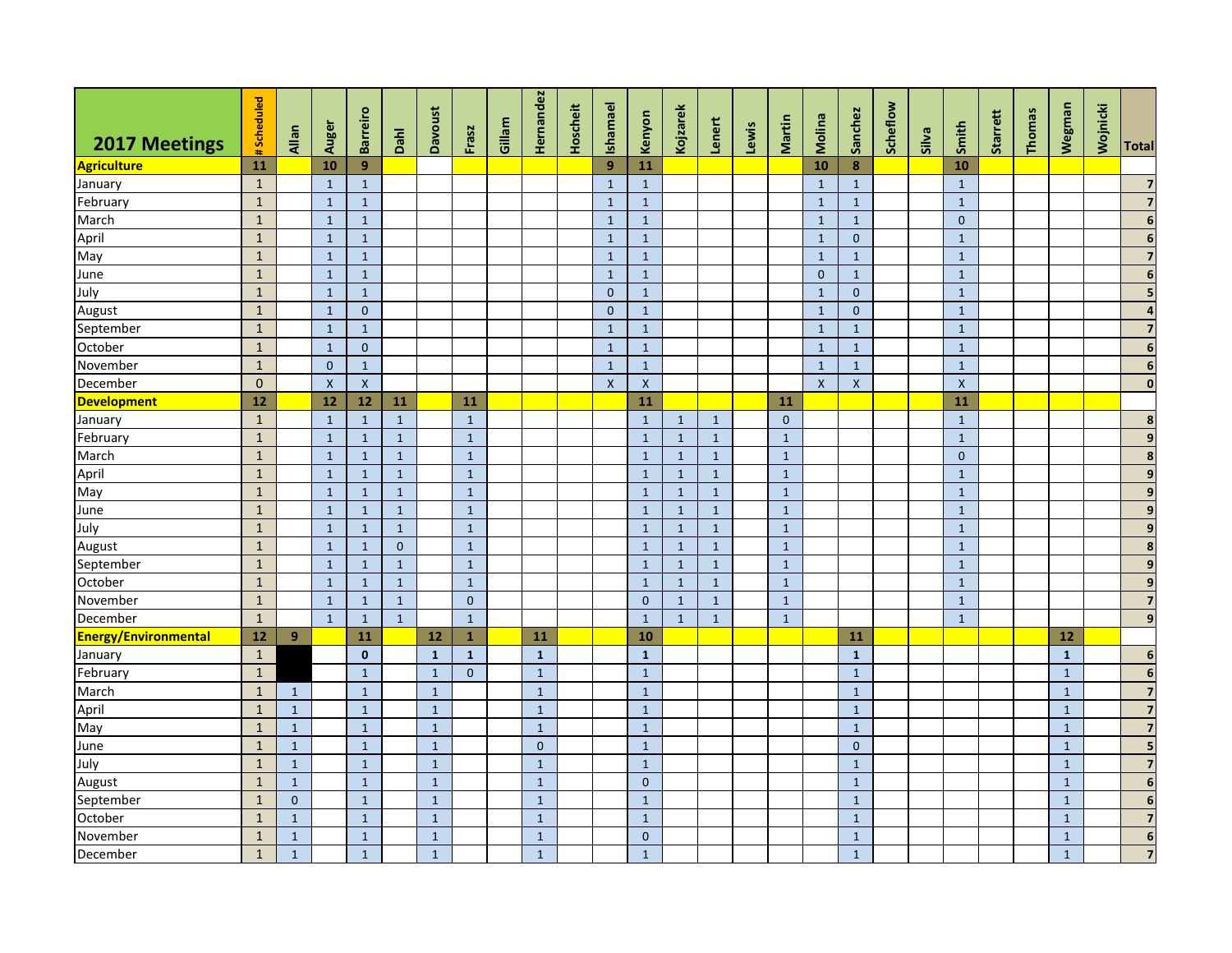| 2017 Meetings                  | #Scheduled                   | Allan        | Auger                           | <b>Barreiro</b>              | Dahl                         | <b>Davoust</b> | Frasz                        | Gillam | Hernandez      | Hoscheit | Ishamael                     | Kenyon                          | Kojzarek                     | Lenert                       | Lewis | Martin                       | Molina                    | Sanchez                      | Scheflow | Silva | Smith                        | Starrett | Thomas | Wegman       | Wojnicki | Total                              |
|--------------------------------|------------------------------|--------------|---------------------------------|------------------------------|------------------------------|----------------|------------------------------|--------|----------------|----------|------------------------------|---------------------------------|------------------------------|------------------------------|-------|------------------------------|---------------------------|------------------------------|----------|-------|------------------------------|----------|--------|--------------|----------|------------------------------------|
|                                |                              |              |                                 | 9                            |                              |                |                              |        |                |          | 9                            | 11                              |                              |                              |       |                              |                           |                              |          |       |                              |          |        |              |          |                                    |
| <b>Agriculture</b>             | 11                           |              | 10                              |                              |                              |                |                              |        |                |          |                              |                                 |                              |                              |       |                              | 10                        | 8                            |          |       | 10                           |          |        |              |          |                                    |
| January                        | $\mathbf{1}$                 |              | $\mathbf{1}$                    | $\mathbf{1}$                 |                              |                |                              |        |                |          | $\mathbf{1}$                 | $\mathbf{1}$                    |                              |                              |       |                              | $\mathbf{1}$              | $\mathbf{1}$                 |          |       | $\mathbf{1}$                 |          |        |              |          | $\overline{\mathbf{z}}$            |
| February<br>March              | $\mathbf{1}$<br>$\mathbf{1}$ |              | $\mathbf{1}$                    | $\mathbf{1}$                 |                              |                |                              |        |                |          | $\mathbf{1}$                 | $\mathbf{1}$                    |                              |                              |       |                              | $\mathbf{1}$              | $\mathbf{1}$                 |          |       | $\mathbf{1}$                 |          |        |              |          | $\boldsymbol{6}$                   |
| April                          | $\mathbf{1}$                 |              | $\mathbf{1}$<br>$\mathbf{1}$    | $\mathbf{1}$                 |                              |                |                              |        |                |          | $\mathbf{1}$<br>$\mathbf{1}$ | $\mathbf{1}$<br>$\mathbf{1}$    |                              |                              |       |                              | $\mathbf{1}$              | $\mathbf{1}$<br>$\mathbf{0}$ |          |       | $\mathbf{0}$<br>$\mathbf{1}$ |          |        |              |          | $\boldsymbol{6}$                   |
|                                | $\mathbf{1}$                 |              | $\mathbf{1}$                    | $\mathbf{1}$                 |                              |                |                              |        |                |          | $\mathbf{1}$                 |                                 |                              |                              |       |                              | $\mathbf{1}$              |                              |          |       |                              |          |        |              |          | $\overline{7}$                     |
| May                            |                              |              |                                 | $\mathbf{1}$                 |                              |                |                              |        |                |          |                              | $\mathbf{1}$                    |                              |                              |       |                              | $\mathbf{1}$<br>$\Omega$  | $\mathbf{1}$                 |          |       | $\mathbf{1}$                 |          |        |              |          | $\boldsymbol{6}$                   |
| June<br>July                   | $\mathbf{1}$                 |              | $\mathbf{1}$                    | $\mathbf{1}$                 |                              |                |                              |        |                |          | $\mathbf{1}$<br>$\mathbf{0}$ | $\mathbf{1}$                    |                              |                              |       |                              |                           | $\mathbf 1$                  |          |       | $\mathbf{1}$                 |          |        |              |          |                                    |
|                                | $\mathbf{1}$                 |              | $\mathbf{1}$                    | $\mathbf{1}$                 |                              |                |                              |        |                |          |                              | $\mathbf{1}$                    |                              |                              |       |                              | $\mathbf{1}$              | $\mathbf{0}$                 |          |       | $\mathbf{1}$                 |          |        |              |          | 5                                  |
| August                         | $\mathbf{1}$                 |              | $\mathbf{1}$                    | $\mathbf{0}$                 |                              |                |                              |        |                |          | $\overline{0}$               | $\mathbf{1}$                    |                              |                              |       |                              | $\mathbf{1}$              | $\mathbf{0}$                 |          |       | $\mathbf{1}$                 |          |        |              |          | $\overline{4}$                     |
| September                      | $\mathbf{1}$                 |              | $\mathbf{1}$                    | $\mathbf{1}$                 |                              |                |                              |        |                |          | $\mathbf{1}$                 | $\mathbf{1}$                    |                              |                              |       |                              | $\mathbf{1}$              | $\mathbf{1}$                 |          |       | $\mathbf{1}$                 |          |        |              |          | $\overline{7}$<br>$\boldsymbol{6}$ |
| October                        | $\mathbf{1}$                 |              | $\mathbf{1}$                    | $\pmb{0}$                    |                              |                |                              |        |                |          | $\mathbf{1}$                 | $\mathbf{1}$                    |                              |                              |       |                              | $\mathbf{1}$              | $\mathbf 1$                  |          |       | $\mathbf 1$                  |          |        |              |          |                                    |
| November                       | $\mathbf 1$<br>$\mathbf{0}$  |              | $\mathbf{0}$                    | $\mathbf 1$                  |                              |                |                              |        |                |          | $\mathbf{1}$                 | $\mathbf{1}$                    |                              |                              |       |                              | $\overline{1}$            | $\mathbf 1$                  |          |       | $\mathbf 1$                  |          |        |              |          | $\boldsymbol{6}$<br>$\mathbf 0$    |
| December<br><b>Development</b> | 12                           |              | $\boldsymbol{\mathsf{x}}$<br>12 | $\mathsf X$<br>$12$          | 11                           |                | 11                           |        |                |          | $\pmb{\times}$               | $\boldsymbol{\mathsf{X}}$<br>11 |                              |                              |       | 11                           | $\boldsymbol{\mathsf{x}}$ | $\pmb{\mathsf{X}}$           |          |       | $\mathsf{x}$<br>11           |          |        |              |          |                                    |
|                                | $\mathbf{1}$                 |              |                                 |                              |                              |                |                              |        |                |          |                              | $\mathbf{1}$                    |                              |                              |       |                              |                           |                              |          |       | $\mathbf{1}$                 |          |        |              |          |                                    |
| January                        | $\mathbf{1}$                 |              | $\mathbf{1}$<br>$\mathbf{1}$    | $\mathbf{1}$                 | $\mathbf{1}$                 |                | $\mathbf{1}$<br>$\mathbf{1}$ |        |                |          |                              |                                 | $\mathbf{1}$                 | $\mathbf{1}$<br>$\mathbf{1}$ |       | $\mathbf{0}$                 |                           |                              |          |       | $\mathbf{1}$                 |          |        |              |          | $\pmb{8}$<br>$\overline{9}$        |
| February<br>March              | $\mathbf{1}$                 |              | $\mathbf{1}$                    | $\mathbf{1}$<br>$\mathbf{1}$ | $\mathbf{1}$<br>$\mathbf{1}$ |                | $\mathbf{1}$                 |        |                |          |                              | $\mathbf{1}$<br>$\mathbf{1}$    | $\mathbf{1}$<br>$\mathbf{1}$ | $\mathbf{1}$                 |       | $\mathbf{1}$<br>$\mathbf{1}$ |                           |                              |          |       | $\mathbf{0}$                 |          |        |              |          |                                    |
| April                          | $\mathbf{1}$                 |              | $\mathbf{1}$                    |                              | $\mathbf{1}$                 |                | $\mathbf{1}$                 |        |                |          |                              | $\mathbf{1}$                    | $\mathbf{1}$                 | $\mathbf{1}$                 |       | $\mathbf{1}$                 |                           |                              |          |       | $\mathbf{1}$                 |          |        |              |          | $\pmb{8}$<br>$\mathbf{9}$          |
| May                            | $\mathbf{1}$                 |              | $\mathbf{1}$                    | $\mathbf{1}$<br>$\mathbf{1}$ | 1                            |                | $\mathbf{1}$                 |        |                |          |                              | $\mathbf{1}$                    | $\mathbf{1}$                 | $\mathbf{1}$                 |       | $\mathbf{1}$                 |                           |                              |          |       | $\mathbf{1}$                 |          |        |              |          | $\boldsymbol{9}$                   |
| June                           | $\mathbf{1}$                 |              | $\mathbf{1}$                    | $\mathbf{1}$                 | $\mathbf{1}$                 |                | $\mathbf{1}$                 |        |                |          |                              | $\mathbf{1}$                    | $\mathbf{1}$                 | $\mathbf{1}$                 |       | $\mathbf{1}$                 |                           |                              |          |       | $\mathbf{1}$                 |          |        |              |          | $\boldsymbol{9}$                   |
| July                           | $\mathbf{1}$                 |              | $\mathbf{1}$                    | $\mathbf{1}$                 | $\mathbf{1}$                 |                | $\mathbf{1}$                 |        |                |          |                              | $\mathbf{1}$                    | $\mathbf{1}$                 | $\mathbf{1}$                 |       | $\mathbf{1}$                 |                           |                              |          |       | $\mathbf{1}$                 |          |        |              |          | $\boldsymbol{9}$                   |
| August                         | $\mathbf{1}$                 |              | $\mathbf{1}$                    | $\mathbf{1}$                 | $\mathbf{0}$                 |                | $\mathbf{1}$                 |        |                |          |                              | $\mathbf{1}$                    | $\mathbf{1}$                 | $\mathbf{1}$                 |       | $\mathbf{1}$                 |                           |                              |          |       | $\mathbf{1}$                 |          |        |              |          | $\boldsymbol{8}$                   |
| September                      | $\mathbf{1}$                 |              | $\mathbf{1}$                    | $\mathbf{1}$                 | 1                            |                | $\mathbf{1}$                 |        |                |          |                              | $\mathbf{1}$                    | $\mathbf{1}$                 | $\mathbf{1}$                 |       | $\mathbf{1}$                 |                           |                              |          |       | $\mathbf{1}$                 |          |        |              |          | $\overline{9}$                     |
| October                        | $\mathbf{1}$                 |              | $\mathbf{1}$                    | $\mathbf{1}$                 | $\mathbf{1}$                 |                | $\mathbf{1}$                 |        |                |          |                              | $\mathbf{1}$                    | $\mathbf{1}$                 | $\mathbf{1}$                 |       | $\mathbf{1}$                 |                           |                              |          |       | $\mathbf{1}$                 |          |        |              |          | $\overline{9}$                     |
| November                       | $\mathbf{1}$                 |              | $\mathbf{1}$                    | $\mathbf{1}$                 | $\mathbf{1}$                 |                | $\mathbf{0}$                 |        |                |          |                              | $\mathbf{0}$                    | $\mathbf{1}$                 | $\mathbf{1}$                 |       | $\mathbf{1}$                 |                           |                              |          |       | $\mathbf{1}$                 |          |        |              |          | $\overline{7}$                     |
| December                       | $\mathbf{1}$                 |              | $\mathbf{1}$                    | $\mathbf{1}$                 | $\mathbf{1}$                 |                | $\mathbf{1}$                 |        |                |          |                              | $\mathbf{1}$                    | $\mathbf{1}$                 | $\mathbf{1}$                 |       | $\mathbf{1}$                 |                           |                              |          |       | $\mathbf{1}$                 |          |        |              |          | $\overline{9}$                     |
| <b>Energy/Environmental</b>    | $12\,$                       | 9            |                                 | 11                           |                              | $12$           | $\mathbf{1}$                 |        | 11             |          |                              | 10                              |                              |                              |       |                              |                           | 11                           |          |       |                              |          |        | 12           |          |                                    |
| January                        | $\mathbf{1}$                 |              |                                 | $\mathbf 0$                  |                              | $\mathbf{1}$   | $\mathbf{1}$                 |        | $\mathbf{1}$   |          |                              | $\mathbf{1}$                    |                              |                              |       |                              |                           | $\mathbf 1$                  |          |       |                              |          |        | $\mathbf{1}$ |          | $\boldsymbol{6}$                   |
| February                       | $\mathbf 1$                  |              |                                 | $\mathbf{1}$                 |                              | $\mathbf{1}$   | $\mathbf{0}$                 |        | $\mathbf{1}$   |          |                              | $\mathbf{1}$                    |                              |                              |       |                              |                           | $\mathbf 1$                  |          |       |                              |          |        | $\mathbf{1}$ |          | $\boldsymbol{6}$                   |
| March                          | $\mathbf{1}$                 | $\mathbf{1}$ |                                 | $\mathbf{1}$                 |                              | $\mathbf 1$    |                              |        | $\mathbf{1}$   |          |                              | $\mathbf{1}$                    |                              |                              |       |                              |                           | $\mathbf 1$                  |          |       |                              |          |        | $\mathbf{1}$ |          | $\overline{\mathbf{z}}$            |
| April                          | $\overline{1}$               | $\mathbf 1$  |                                 | $\mathbf{1}$                 |                              | $\mathbf 1$    |                              |        | $\mathbf{1}$   |          |                              | $\mathbf{1}$                    |                              |                              |       |                              |                           | $\mathbf 1$                  |          |       |                              |          |        | $\mathbf 1$  |          | $\overline{7}$                     |
| May                            | $\mathbf{1}$                 | $\,1\,$      |                                 | $\mathbf{1}$                 |                              | $\mathbf{1}$   |                              |        | $\mathbf{1}$   |          |                              | $\mathbf{1}$                    |                              |                              |       |                              |                           | $\mathbf 1$                  |          |       |                              |          |        | $\mathbf{1}$ |          | $\overline{\mathbf{z}}$            |
| June                           | $\mathbf{1}$                 | $\,1\,$      |                                 | $\mathbf{1}$                 |                              | $\,1\,$        |                              |        | $\mathbf{0}$   |          |                              | $\mathbf{1}$                    |                              |                              |       |                              |                           | $\mathbf 0$                  |          |       |                              |          |        | $\mathbf{1}$ |          | 5                                  |
| July                           | $\mathbf{1}$                 | $\mathbf{1}$ |                                 | $\mathbf{1}$                 |                              | $\mathbf{1}$   |                              |        | $\overline{1}$ |          |                              | $\mathbf{1}$                    |                              |                              |       |                              |                           | $\mathbf{1}$                 |          |       |                              |          |        | $\mathbf{1}$ |          | $\overline{7}$                     |
| August                         | $\mathbf{1}$                 | $\mathbf 1$  |                                 | $\mathbf{1}$                 |                              | $\mathbf{1}$   |                              |        | $\mathbf{1}$   |          |                              | $\Omega$                        |                              |                              |       |                              |                           | $\mathbf{1}$                 |          |       |                              |          |        | $\mathbf{1}$ |          | $6\phantom{1}6$                    |
| September                      | $\mathbf{1}$                 | $\mathbf{0}$ |                                 | $\mathbf{1}$                 |                              | $\mathbf{1}$   |                              |        | $\mathbf{1}$   |          |                              | $\mathbf{1}$                    |                              |                              |       |                              |                           | $\mathbf 1$                  |          |       |                              |          |        | $\mathbf{1}$ |          | $\boldsymbol{6}$                   |
| October                        | $\mathbf{1}$                 | $\mathbf{1}$ |                                 | $\mathbf{1}$                 |                              | $\mathbf{1}$   |                              |        | $\mathbf{1}$   |          |                              | $\mathbf{1}$                    |                              |                              |       |                              |                           | $\mathbf{1}$                 |          |       |                              |          |        | $\mathbf{1}$ |          | $\overline{7}$                     |
| November                       | $\mathbf{1}$                 | $\mathbf{1}$ |                                 | $\mathbf{1}$                 |                              | $\mathbf{1}$   |                              |        | $\mathbf{1}$   |          |                              | $\mathbf{0}$                    |                              |                              |       |                              |                           | $\mathbf{1}$                 |          |       |                              |          |        | $\mathbf{1}$ |          | $\boldsymbol{6}$                   |
| December                       | $\mathbf{1}$                 | $\mathbf{1}$ |                                 | $\mathbf{1}$                 |                              | $\mathbf{1}$   |                              |        | $\mathbf{1}$   |          |                              | $\mathbf{1}$                    |                              |                              |       |                              |                           | $\mathbf{1}$                 |          |       |                              |          |        | $\mathbf{1}$ |          | $\overline{\mathbf{z}}$            |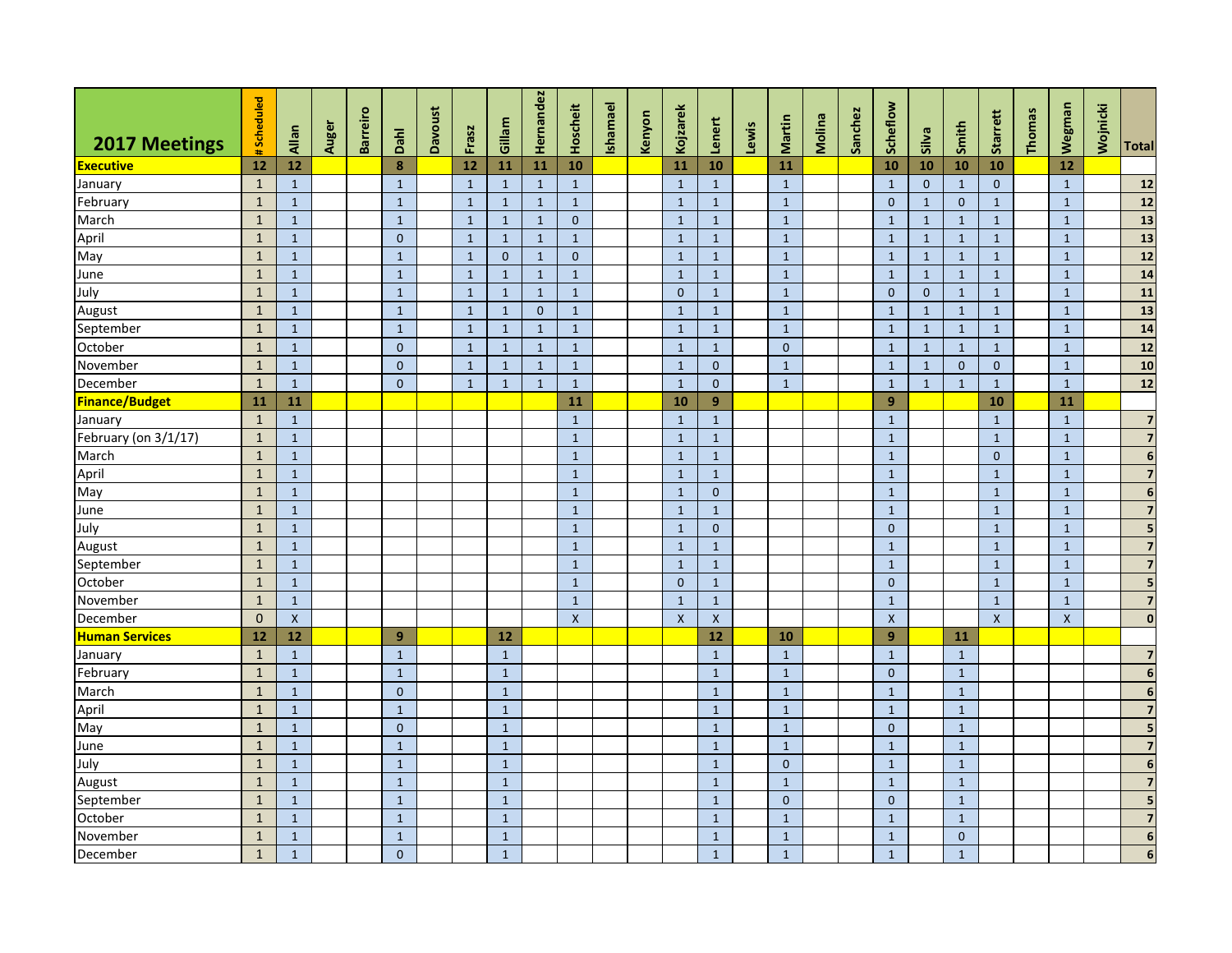|                       |                |              |       |                 |                |                |              |              | Hernandez    |                    |          |        |                    |              |       |              |        |         |                  |              |                |                |        |                |          |                         |
|-----------------------|----------------|--------------|-------|-----------------|----------------|----------------|--------------|--------------|--------------|--------------------|----------|--------|--------------------|--------------|-------|--------------|--------|---------|------------------|--------------|----------------|----------------|--------|----------------|----------|-------------------------|
| 2017 Meetings         | #Scheduled     | Allan        | Auger | <b>Barreiro</b> | Dahl           | <b>Davoust</b> | Frasz        | Gillam       |              | Hoscheit           | Ishamael | Kenyon | Kojzarek           | Lenert       | Lewis | Martin       | Molina | Sanchez | Scheflow         | Silva        | Smith          | Starrett       | Thomas | Wegman         | Wojnicki | <b>Total</b>            |
| <b>Executive</b>      | 12             | <b>12</b>    |       |                 | 8              |                | 12           | 11           | 11           | 10                 |          |        | 11                 | 10           |       | 11           |        |         | 10               | 10           | 10             | 10             |        | 12             |          |                         |
| January               | $\mathbf{1}$   | $\mathbf{1}$ |       |                 | $\mathbf{1}$   |                | $\mathbf{1}$ | $\mathbf{1}$ | $\mathbf{1}$ | $\mathbf{1}$       |          |        | $\mathbf{1}$       | $\mathbf{1}$ |       | $\mathbf{1}$ |        |         | $\mathbf{1}$     | $\mathbf{0}$ | $\mathbf{1}$   | $\mathbf{0}$   |        | $\mathbf{1}$   |          | 12                      |
| February              | $\mathbf{1}$   | $\mathbf{1}$ |       |                 | $\mathbf{1}$   |                | $\mathbf{1}$ | $\mathbf{1}$ | $\mathbf{1}$ | $\mathbf{1}$       |          |        | $\mathbf{1}$       | $\mathbf{1}$ |       | $\mathbf{1}$ |        |         | $\mathbf{0}$     | $\mathbf{1}$ | $\overline{0}$ | $\mathbf{1}$   |        | $\mathbf{1}$   |          | $12$                    |
| March                 | $\overline{1}$ | $\,1\,$      |       |                 | $\overline{1}$ |                | $\mathbf{1}$ | $\mathbf{1}$ | $\mathbf{1}$ | $\mathbf{0}$       |          |        | $\mathbf{1}$       | $\mathbf{1}$ |       | $\mathbf{1}$ |        |         | $\mathbf{1}$     | $\mathbf{1}$ | $\mathbf{1}$   | $\mathbf 1$    |        | $\mathbf{1}$   |          | 13                      |
| April                 | $\mathbf{1}$   | $\mathbf{1}$ |       |                 | $\mathbf{0}$   |                | $\mathbf{1}$ | $\mathbf{1}$ | $\mathbf{1}$ | $\mathbf{1}$       |          |        | $\mathbf{1}$       | $\mathbf{1}$ |       | $\mathbf{1}$ |        |         | $\mathbf{1}$     | $\mathbf{1}$ | $\mathbf{1}$   | $\mathbf{1}$   |        | $\mathbf{1}$   |          | $\boxed{13}$            |
| May                   | $\mathbf{1}$   | $\mathbf{1}$ |       |                 | $\mathbf{1}$   |                | $\mathbf{1}$ | $\mathbf{0}$ | $\mathbf{1}$ | $\mathbf{0}$       |          |        | $\mathbf{1}$       | $\mathbf{1}$ |       | $\mathbf{1}$ |        |         | $\mathbf{1}$     | $\mathbf{1}$ | $\mathbf{1}$   | $\mathbf{1}$   |        | $\mathbf{1}$   |          | $\overline{12}$         |
| June                  | $\mathbf{1}$   | $\mathbf{1}$ |       |                 | $\mathbf{1}$   |                | $\mathbf{1}$ | $\mathbf{1}$ | $\mathbf{1}$ | $\mathbf{1}$       |          |        | $\mathbf{1}$       | $\mathbf{1}$ |       | $\mathbf{1}$ |        |         | $\mathbf{1}$     | $\mathbf{1}$ | $\mathbf{1}$   | $\mathbf{1}$   |        | $\mathbf{1}$   |          | $\boxed{14}$            |
| July                  | $\mathbf{1}$   | $\mathbf{1}$ |       |                 | $\mathbf{1}$   |                | $\mathbf{1}$ | $\mathbf{1}$ | $\mathbf{1}$ | $\mathbf{1}$       |          |        | $\overline{0}$     | $\mathbf{1}$ |       | $\mathbf{1}$ |        |         | $\mathbf{0}$     | $\mathbf{0}$ | $\mathbf{1}$   | $\mathbf{1}$   |        | $\mathbf{1}$   |          | 11                      |
| August                | $\mathbf{1}$   | $\mathbf{1}$ |       |                 | $\mathbf{1}$   |                | $\mathbf{1}$ | $\mathbf{1}$ | $\mathbf{0}$ | $\mathbf{1}$       |          |        | $\mathbf{1}$       | $\mathbf{1}$ |       | $\mathbf{1}$ |        |         | $\mathbf{1}$     | $\mathbf{1}$ | $\mathbf{1}$   | $\mathbf{1}$   |        | $\mathbf{1}$   |          | 13                      |
| September             | $\mathbf{1}$   | $\mathbf{1}$ |       |                 | $\mathbf{1}$   |                | $\mathbf{1}$ | $\mathbf{1}$ | $\mathbf{1}$ | $\mathbf{1}$       |          |        | $\mathbf{1}$       | $\mathbf{1}$ |       | $\mathbf{1}$ |        |         | $\mathbf{1}$     | $\mathbf{1}$ | $\mathbf{1}$   | $\mathbf{1}$   |        | $\mathbf{1}$   |          | 14                      |
| October               | $\mathbf{1}$   | $\mathbf{1}$ |       |                 | $\mathbf{0}$   |                | $\mathbf{1}$ | $\mathbf{1}$ | $\mathbf{1}$ | $\mathbf{1}$       |          |        | $\mathbf{1}$       | $\mathbf{1}$ |       | $\mathbf{0}$ |        |         | $\mathbf{1}$     | $\mathbf{1}$ | $\mathbf{1}$   | $\mathbf{1}$   |        | $\mathbf{1}$   |          | $\overline{12}$         |
| November              | $\mathbf{1}$   | $\mathbf{1}$ |       |                 | $\mathbf{0}$   |                | $\mathbf{1}$ | $\mathbf{1}$ | $\mathbf{1}$ | $\mathbf{1}$       |          |        | $\mathbf{1}$       | $\mathbf{0}$ |       | $\mathbf{1}$ |        |         | $\mathbf{1}$     | $\mathbf{1}$ | $\mathbf{0}$   | $\mathbf{0}$   |        | $\mathbf{1}$   |          | 10                      |
| December              | $\mathbf{1}$   | $\mathbf{1}$ |       |                 | $\Omega$       |                | $\mathbf{1}$ | $\mathbf{1}$ | $\mathbf{1}$ | $\mathbf{1}$       |          |        | $\mathbf{1}$       | $\mathbf{0}$ |       | $\mathbf{1}$ |        |         | $\mathbf{1}$     | $\mathbf{1}$ | $\mathbf{1}$   | $\overline{1}$ |        | $\overline{1}$ |          | $\overline{12}$         |
| <b>Finance/Budget</b> | 11             | 11           |       |                 |                |                |              |              |              | 11                 |          |        | 10                 | 9            |       |              |        |         | $\boldsymbol{9}$ |              |                | 10             |        | 11             |          |                         |
| January               | $\mathbf{1}$   | $\mathbf{1}$ |       |                 |                |                |              |              |              | $\mathbf{1}$       |          |        | $\mathbf{1}$       | $\mathbf{1}$ |       |              |        |         | $\mathbf{1}$     |              |                | $\mathbf{1}$   |        | $\mathbf{1}$   |          | $\overline{7}$          |
| February (on 3/1/17)  | $\mathbf{1}$   | $\mathbf{1}$ |       |                 |                |                |              |              |              | $\mathbf{1}$       |          |        | $\mathbf{1}$       | $\mathbf{1}$ |       |              |        |         | $\mathbf{1}$     |              |                | $\overline{1}$ |        | $\mathbf{1}$   |          | $\overline{7}$          |
| March                 | $\mathbf{1}$   | $\mathbf{1}$ |       |                 |                |                |              |              |              | $\mathbf{1}$       |          |        | $\mathbf{1}$       | $\mathbf{1}$ |       |              |        |         | $\mathbf{1}$     |              |                | $\Omega$       |        | $\mathbf{1}$   |          | $6 \overline{6}$        |
| April                 | $\mathbf{1}$   | $\mathbf{1}$ |       |                 |                |                |              |              |              | $\mathbf{1}$       |          |        | $\mathbf{1}$       | $\mathbf{1}$ |       |              |        |         | $\mathbf{1}$     |              |                | $\overline{1}$ |        | $\mathbf{1}$   |          | $\overline{7}$          |
| May                   | $\mathbf{1}$   | $\mathbf{1}$ |       |                 |                |                |              |              |              | $\mathbf{1}$       |          |        | $\mathbf{1}$       | $\Omega$     |       |              |        |         | $\mathbf{1}$     |              |                | $\mathbf{1}$   |        | $\mathbf{1}$   |          | $6 \overline{6}$        |
| June                  | $\mathbf{1}$   | $\mathbf{1}$ |       |                 |                |                |              |              |              | $\mathbf{1}$       |          |        | $\mathbf{1}$       | $\mathbf{1}$ |       |              |        |         | $\mathbf{1}$     |              |                | $\overline{1}$ |        | $\mathbf{1}$   |          | $\overline{7}$          |
| July                  | $\mathbf{1}$   | $\mathbf{1}$ |       |                 |                |                |              |              |              | $\mathbf{1}$       |          |        | $\mathbf{1}$       | $\mathbf{0}$ |       |              |        |         | $\mathbf{0}$     |              |                | $\mathbf{1}$   |        | $\mathbf{1}$   |          | $5\phantom{.0}$         |
| August                | $\mathbf{1}$   | $\mathbf{1}$ |       |                 |                |                |              |              |              | $\mathbf{1}$       |          |        | $\mathbf{1}$       | $\mathbf{1}$ |       |              |        |         | $\mathbf{1}$     |              |                | $\mathbf{1}$   |        | $\mathbf{1}$   |          | $\overline{7}$          |
| September             | $\mathbf{1}$   | $\mathbf{1}$ |       |                 |                |                |              |              |              | $\mathbf{1}$       |          |        | $\mathbf{1}$       | $\mathbf{1}$ |       |              |        |         | $\mathbf{1}$     |              |                | $\overline{1}$ |        | $\mathbf{1}$   |          | $\overline{7}$          |
| October               | $\mathbf{1}$   | $\mathbf{1}$ |       |                 |                |                |              |              |              | $\mathbf{1}$       |          |        | $\mathbf{0}$       | $\mathbf{1}$ |       |              |        |         | $\mathbf{0}$     |              |                | $\mathbf{1}$   |        | $\mathbf 1$    |          | $5\phantom{.0}$         |
| November              | $\mathbf{1}$   | $\mathbf{1}$ |       |                 |                |                |              |              |              | $\mathbf{1}$       |          |        | $\mathbf{1}$       | $\mathbf{1}$ |       |              |        |         | $\mathbf{1}$     |              |                | $\mathbf{1}$   |        | $\mathbf{1}$   |          | $\overline{7}$          |
| December              | $\mathbf{0}$   | $\mathsf{X}$ |       |                 |                |                |              |              |              | $\pmb{\mathsf{X}}$ |          |        | $\pmb{\mathsf{X}}$ | $\mathsf{X}$ |       |              |        |         | $\mathsf{x}$     |              |                | $\mathsf{x}$   |        | $\mathsf{x}$   |          | $\mathbf{0}$            |
| <b>Human Services</b> | 12             | 12           |       |                 | 9              |                |              | 12           |              |                    |          |        |                    | 12           |       | 10           |        |         | 9                |              | 11             |                |        |                |          |                         |
| January               | $\mathbf{1}$   | $\mathbf{1}$ |       |                 | $\mathbf{1}$   |                |              | $\mathbf{1}$ |              |                    |          |        |                    | $\mathbf{1}$ |       | $\mathbf 1$  |        |         | $\mathbf{1}$     |              | $\mathbf{1}$   |                |        |                |          | $\overline{7}$          |
| February              | $\mathbf{1}$   | $\mathbf{1}$ |       |                 | $\mathbf{1}$   |                |              | $\mathbf{1}$ |              |                    |          |        |                    | $\mathbf{1}$ |       | $\mathbf{1}$ |        |         | $\mathbf{0}$     |              | $\mathbf{1}$   |                |        |                |          | $6 \overline{6}$        |
| March                 | $\mathbf{1}$   | $\mathbf{1}$ |       |                 | $\mathbf{0}$   |                |              | $\mathbf{1}$ |              |                    |          |        |                    | $\mathbf{1}$ |       | $\mathbf{1}$ |        |         | $\mathbf{1}$     |              | $\mathbf{1}$   |                |        |                |          | $\overline{\mathbf{6}}$ |
| April                 | $\mathbf{1}$   | $\mathbf{1}$ |       |                 | $\mathbf{1}$   |                |              | $\mathbf{1}$ |              |                    |          |        |                    | $\mathbf{1}$ |       | $\mathbf{1}$ |        |         | $\mathbf{1}$     |              | $\mathbf{1}$   |                |        |                |          | $\overline{\mathbf{z}}$ |
| May                   | $\mathbf{1}$   | $\mathbf{1}$ |       |                 | $\mathbf{0}$   |                |              | $\mathbf{1}$ |              |                    |          |        |                    | $\mathbf{1}$ |       | $\mathbf{1}$ |        |         | $\mathbf{0}$     |              | $\mathbf{1}$   |                |        |                |          | 5                       |
| June                  | $\mathbf{1}$   | $\mathbf{1}$ |       |                 | $\mathbf{1}$   |                |              | $\mathbf{1}$ |              |                    |          |        |                    | $\mathbf{1}$ |       | $\mathbf{1}$ |        |         | $\mathbf{1}$     |              | $\mathbf{1}$   |                |        |                |          | $\overline{7}$          |
| July                  | $\mathbf{1}$   | $\,1\,$      |       |                 | $\mathbf 1$    |                |              | $\mathbf{1}$ |              |                    |          |        |                    | $\mathbf{1}$ |       | $\mathbf{0}$ |        |         | $\,1\,$          |              | $\mathbf{1}$   |                |        |                |          | $\overline{\mathbf{6}}$ |
| August                | $\mathbf{1}$   | $\mathbf{1}$ |       |                 | $\mathbf{1}$   |                |              | $\mathbf{1}$ |              |                    |          |        |                    | $\mathbf{1}$ |       | $\mathbf 1$  |        |         | $\mathbf 1$      |              | $\mathbf{1}$   |                |        |                |          | $\overline{7}$          |
| September             | $\mathbf{1}$   | $\mathbf{1}$ |       |                 | $\mathbf{1}$   |                |              | $\mathbf{1}$ |              |                    |          |        |                    | $\mathbf{1}$ |       | $\mathbf{0}$ |        |         | $\mathbf{0}$     |              | $\mathbf{1}$   |                |        |                |          | $\overline{\mathbf{5}}$ |
| October               | $\mathbf{1}$   | $\mathbf{1}$ |       |                 | $\mathbf{1}$   |                |              | $\mathbf{1}$ |              |                    |          |        |                    | $\mathbf{1}$ |       | $\mathbf 1$  |        |         | $\mathbf{1}$     |              | $\mathbf{1}$   |                |        |                |          | $\overline{7}$          |
| November              | $\mathbf{1}$   | $\mathbf{1}$ |       |                 | $\mathbf{1}$   |                |              | $\mathbf{1}$ |              |                    |          |        |                    | $\mathbf{1}$ |       | $\mathbf{1}$ |        |         | $\mathbf{1}$     |              | $\mathbf{0}$   |                |        |                |          | $6 \overline{6}$        |
| December              | $\mathbf{1}$   | $\mathbf 1$  |       |                 | $\mathbf{0}$   |                |              | $\mathbf{1}$ |              |                    |          |        |                    | $\mathbf{1}$ |       | $\,1\,$      |        |         | $\mathbf 1$      |              | $\mathbf{1}$   |                |        |                |          | $6 \overline{6}$        |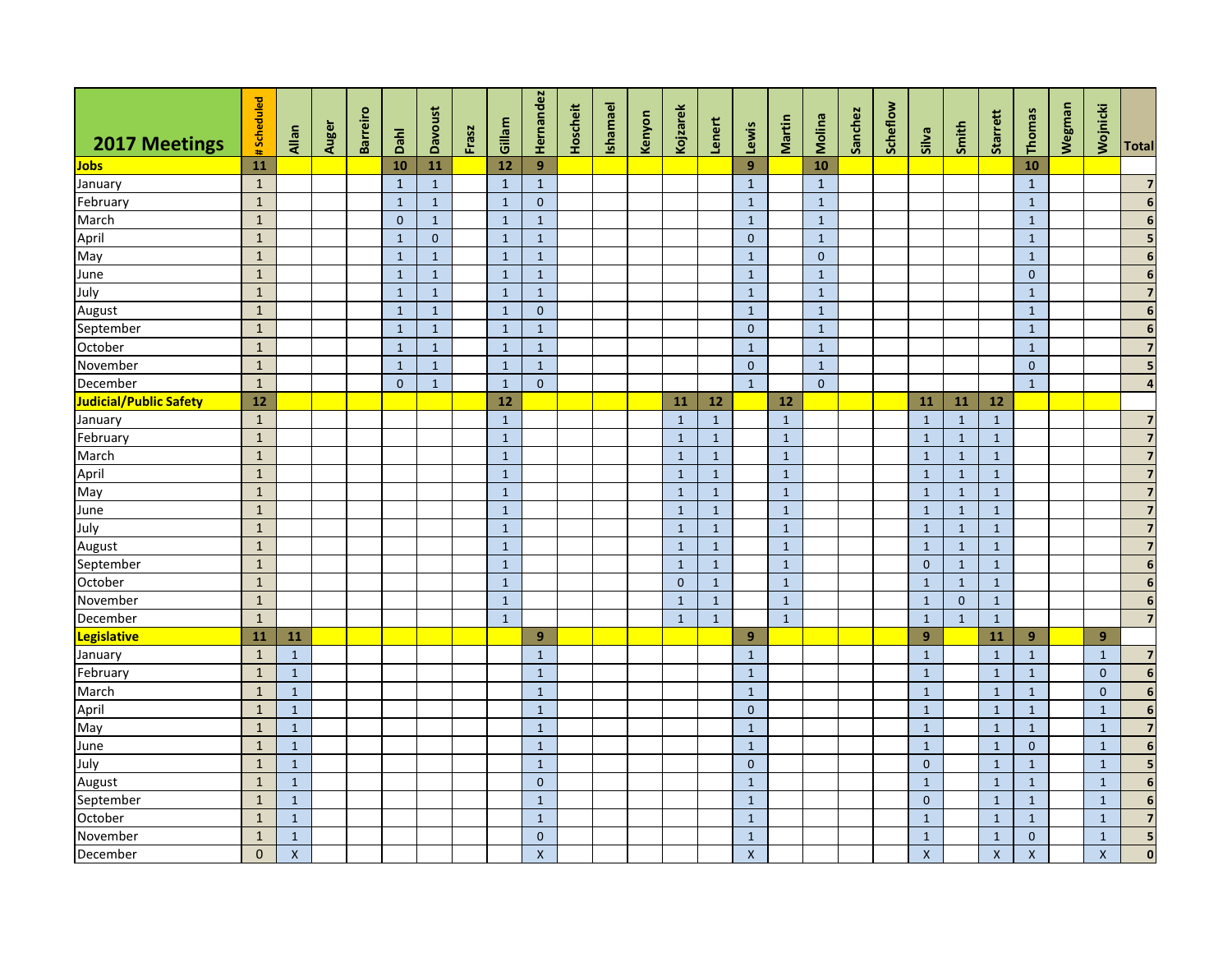|                        | #Scheduled   |                |       | <b>Barreiro</b> |              | <b>Davoust</b> |       | Gillam         | Hernandez          | Hoscheit | Ishamael | Kenyon | Kojzarek     | Lenert       |              | Martin       | Molina       | Sanchez | Scheflow |                    |              | Starrett           | Thomas         | Wegman | Wojnicki           |                          |
|------------------------|--------------|----------------|-------|-----------------|--------------|----------------|-------|----------------|--------------------|----------|----------|--------|--------------|--------------|--------------|--------------|--------------|---------|----------|--------------------|--------------|--------------------|----------------|--------|--------------------|--------------------------|
| 2017 Meetings          |              | Allan          | Auger |                 | Dahl         |                | Frasz |                |                    |          |          |        |              |              | Lewis        |              |              |         |          | Silva              | Smith        |                    |                |        |                    | Total                    |
| <b>Jobs</b>            | 11           |                |       |                 | 10           | 11             |       | 12             | 9                  |          |          |        |              |              | 9            |              | 10           |         |          |                    |              |                    | 10             |        |                    |                          |
| January                | $\mathbf{1}$ |                |       |                 | $\mathbf{1}$ | $\mathbf{1}$   |       | $\mathbf{1}$   | $\mathbf{1}$       |          |          |        |              |              | $\mathbf{1}$ |              | $\mathbf{1}$ |         |          |                    |              |                    | $\mathbf{1}$   |        |                    | $\overline{\mathbf{z}}$  |
| February               | $\mathbf{1}$ |                |       |                 | $\mathbf{1}$ | $\mathbf{1}$   |       | $\mathbf{1}$   | $\mathbf{0}$       |          |          |        |              |              | $\mathbf{1}$ |              | $\mathbf{1}$ |         |          |                    |              |                    | $\mathbf{1}$   |        |                    | 6                        |
| March                  | $\mathbf{1}$ |                |       |                 | $\mathbf{0}$ | $\mathbf{1}$   |       | $\mathbf{1}$   | $\mathbf{1}$       |          |          |        |              |              | $\mathbf 1$  |              | $\mathbf{1}$ |         |          |                    |              |                    | $\mathbf 1$    |        |                    | $6\phantom{a}$           |
| April                  | $\mathbf{1}$ |                |       |                 | $\mathbf{1}$ | $\mathbf{0}$   |       | $\mathbf{1}$   | $\mathbf{1}$       |          |          |        |              |              | $\mathbf{0}$ |              | $\mathbf{1}$ |         |          |                    |              |                    | $\mathbf{1}$   |        |                    | 5                        |
| May                    | $\mathbf 1$  |                |       |                 | $\mathbf{1}$ | $\mathbf{1}$   |       | $\mathbf{1}$   | $\mathbf{1}$       |          |          |        |              |              | $\mathbf 1$  |              | $\mathbf{0}$ |         |          |                    |              |                    | $\mathbf{1}$   |        |                    | $6\phantom{a}$           |
| June                   | $1\,$        |                |       |                 | $\mathbf{1}$ | $\mathbf{1}$   |       | $\mathbf{1}$   | $\mathbf{1}$       |          |          |        |              |              | $\mathbf{1}$ |              | $\mathbf{1}$ |         |          |                    |              |                    | $\pmb{0}$      |        |                    | $\overline{\mathbf{6}}$  |
| July                   | $\mathbf 1$  |                |       |                 | $\mathbf{1}$ | $\mathbf{1}$   |       | $\mathbf{1}$   | $\mathbf{1}$       |          |          |        |              |              | $\mathbf{1}$ |              | $\mathbf{1}$ |         |          |                    |              |                    | $1\,$          |        |                    | $\overline{7}$           |
| August                 | $1\,$        |                |       |                 | $\mathbf{1}$ | $\mathbf{1}$   |       | $\mathbf{1}$   | $\mathbf{0}$       |          |          |        |              |              | $\mathbf{1}$ |              | $\mathbf{1}$ |         |          |                    |              |                    | $\mathbf{1}$   |        |                    | $6\phantom{a}$           |
| September              | $\mathbf 1$  |                |       |                 | $\mathbf{1}$ | $\mathbf{1}$   |       | $\mathbf{1}$   | $\mathbf{1}$       |          |          |        |              |              | $\mathbf{0}$ |              | $\mathbf{1}$ |         |          |                    |              |                    | $\mathbf{1}$   |        |                    | $\boldsymbol{6}$         |
| October                | $\mathbf{1}$ |                |       |                 | $\mathbf{1}$ | $\mathbf{1}$   |       | $\mathbf{1}$   | $\mathbf{1}$       |          |          |        |              |              | $\mathbf{1}$ |              | $\mathbf{1}$ |         |          |                    |              |                    | $\mathbf{1}$   |        |                    | $\overline{7}$           |
| November               | $\mathbf 1$  |                |       |                 | $\mathbf{1}$ | $\mathbf{1}$   |       | $\mathbf{1}$   | $\mathbf{1}$       |          |          |        |              |              | $\mathbf{0}$ |              | $\mathbf{1}$ |         |          |                    |              |                    | $\mathbf{0}$   |        |                    | 5                        |
| December               | $\mathbf{1}$ |                |       |                 | $\Omega$     | $\mathbf{1}$   |       | $\mathbf{1}$   | $\mathbf{0}$       |          |          |        |              |              | $\mathbf{1}$ |              | $\Omega$     |         |          |                    |              |                    | $\overline{1}$ |        |                    | $\overline{\mathbf{4}}$  |
| Judicial/Public Safety | $12$         |                |       |                 |              |                |       | 12             |                    |          |          |        | 11           | 12           |              | $12$         |              |         |          | 11                 | 11           | $12$               |                |        |                    |                          |
| January                | $\mathbf{1}$ |                |       |                 |              |                |       | $\mathbf{1}$   |                    |          |          |        | $\mathbf{1}$ | $\mathbf{1}$ |              | $\mathbf{1}$ |              |         |          | $\mathbf{1}$       | $\mathbf{1}$ | $\mathbf{1}$       |                |        |                    | $\overline{7}$           |
| February               | $\mathbf 1$  |                |       |                 |              |                |       | $\mathbf{1}$   |                    |          |          |        | $\mathbf{1}$ | $\,1\,$      |              | $\mathbf{1}$ |              |         |          | $\mathbf 1$        | $\mathbf{1}$ | $\overline{1}$     |                |        |                    | $\overline{7}$           |
| March                  | $\mathbf{1}$ |                |       |                 |              |                |       | $\mathbf{1}$   |                    |          |          |        | $\mathbf{1}$ | $\mathbf{1}$ |              | $\mathbf{1}$ |              |         |          | $\mathbf{1}$       | $\mathbf{1}$ | $\mathbf{1}$       |                |        |                    | $\overline{\mathbf{z}}$  |
| April                  | $\mathbf{1}$ |                |       |                 |              |                |       | $\overline{1}$ |                    |          |          |        | $\mathbf{1}$ | $\mathbf{1}$ |              | $\mathbf{1}$ |              |         |          | $\mathbf{1}$       | $\mathbf{1}$ | $\mathbf{1}$       |                |        |                    | $\overline{\mathbf{z}}$  |
| May                    | $\mathbf{1}$ |                |       |                 |              |                |       | $\mathbf{1}$   |                    |          |          |        | $\mathbf{1}$ | $\mathbf{1}$ |              | $\mathbf{1}$ |              |         |          | $\mathbf{1}$       | $\mathbf{1}$ | $\mathbf{1}$       |                |        |                    | $\overline{7}$           |
| June                   | $\mathbf{1}$ |                |       |                 |              |                |       | $\mathbf{1}$   |                    |          |          |        | $\mathbf{1}$ | $\mathbf{1}$ |              | $\mathbf{1}$ |              |         |          | $\mathbf{1}$       | $\mathbf{1}$ | $\mathbf{1}$       |                |        |                    | $\overline{\mathbf{z}}$  |
| July                   | $\mathbf{1}$ |                |       |                 |              |                |       | $\mathbf{1}$   |                    |          |          |        | $\mathbf{1}$ | $\mathbf{1}$ |              | $\mathbf{1}$ |              |         |          | $\mathbf{1}$       | $\mathbf{1}$ | $\mathbf{1}$       |                |        |                    | $\overline{\mathbf{z}}$  |
| August                 | $\mathbf{1}$ |                |       |                 |              |                |       | $\mathbf{1}$   |                    |          |          |        | $\mathbf{1}$ | $\mathbf{1}$ |              | $\mathbf{1}$ |              |         |          | $\mathbf{1}$       | <sup>1</sup> | $\mathbf{1}$       |                |        |                    | $\overline{7}$           |
| September              | $\mathbf 1$  |                |       |                 |              |                |       | $\mathbf{1}$   |                    |          |          |        | $\mathbf{1}$ | $\mathbf{1}$ |              | $\mathbf{1}$ |              |         |          | $\mathbf{0}$       | $\mathbf{1}$ | $\mathbf{1}$       |                |        |                    | $\boldsymbol{6}$         |
| October                | $\mathbf{1}$ |                |       |                 |              |                |       | $\mathbf{1}$   |                    |          |          |        | $\mathbf{0}$ | $\mathbf{1}$ |              | $\mathbf{1}$ |              |         |          | $\mathbf{1}$       | $\mathbf{1}$ | $\mathbf{1}$       |                |        |                    | $6\phantom{1}6$          |
| November               | $\mathbf{1}$ |                |       |                 |              |                |       | $\mathbf{1}$   |                    |          |          |        | $\mathbf{1}$ | $\mathbf{1}$ |              | $\mathbf{1}$ |              |         |          | $\mathbf{1}$       | $\mathbf{0}$ | $\mathbf{1}$       |                |        |                    | $6\overline{6}$          |
| December               | $\mathbf{1}$ |                |       |                 |              |                |       | $\mathbf{1}$   |                    |          |          |        | $\mathbf{1}$ | $\mathbf{1}$ |              | $\mathbf{1}$ |              |         |          | $\mathbf{1}$       | $\mathbf{1}$ | $\mathbf{1}$       |                |        |                    | $\overline{7}$           |
| Legislative            | ${\bf 11}$   | 11             |       |                 |              |                |       |                | 9                  |          |          |        |              |              | 9            |              |              |         |          | 9                  |              | 11                 | 9              |        | 9                  |                          |
| January                | $\mathbf{1}$ | $\mathbf{1}$   |       |                 |              |                |       |                | $\mathbf{1}$       |          |          |        |              |              | $\mathbf{1}$ |              |              |         |          | $\mathbf{1}$       |              | $\mathbf{1}$       | $\mathbf{1}$   |        | $\mathbf{1}$       | $\overline{7}$           |
| February               | $\mathbf 1$  | $\mathbf{1}$   |       |                 |              |                |       |                | $\mathbf{1}$       |          |          |        |              |              | $\mathbf{1}$ |              |              |         |          | $\mathbf{1}$       |              | $\mathbf{1}$       | $\mathbf{1}$   |        | $\mathbf{0}$       | $\boldsymbol{6}$         |
| March                  | $1\,$        | $\mathbf{1}$   |       |                 |              |                |       |                | $\mathbf{1}$       |          |          |        |              |              | $\mathbf{1}$ |              |              |         |          | $\mathbf{1}$       |              | $\mathbf{1}$       | $\mathbf{1}$   |        | $\mathbf{0}$       | $\overline{\phantom{a}}$ |
| April                  | $\mathbf 1$  | $\mathbf{1}$   |       |                 |              |                |       |                | $\mathbf{1}$       |          |          |        |              |              | $\mathbf{0}$ |              |              |         |          | $\mathbf{1}$       |              | $\mathbf{1}$       | $\mathbf{1}$   |        | $\mathbf{1}$       | $\boldsymbol{6}$         |
| May                    | $\mathbf{1}$ | $\mathbf{1}$   |       |                 |              |                |       |                | $\mathbf{1}$       |          |          |        |              |              | $\mathbf{1}$ |              |              |         |          | $\mathbf{1}$       |              | $\mathbf{1}$       | $\mathbf{1}$   |        | $\mathbf{1}$       | $\overline{\mathbf{z}}$  |
| June                   | $\mathbf 1$  | $\mathbf{1}$   |       |                 |              |                |       |                | $\mathbf{1}$       |          |          |        |              |              | $\mathbf{1}$ |              |              |         |          | $\mathbf{1}$       |              | $\mathbf{1}$       | $\mathbf{0}$   |        | $\mathbf{1}$       | $\boldsymbol{6}$         |
| July                   | $\mathbf{1}$ | $\mathbf{1}$   |       |                 |              |                |       |                | $\mathbf{1}$       |          |          |        |              |              | $\mathbf{0}$ |              |              |         |          | $\mathbf{0}$       |              | $\mathbf{1}$       | $\mathbf{1}$   |        | $\mathbf 1$        | $\overline{\mathbf{5}}$  |
| August                 | $1\,$        | $\mathbf{1}$   |       |                 |              |                |       |                | $\mathbf 0$        |          |          |        |              |              | $\mathbf{1}$ |              |              |         |          | $\mathbf{1}$       |              | $\mathbf{1}$       | $\mathbf{1}$   |        | $\mathbf{1}$       | $\boldsymbol{6}$         |
| September              | $\mathbf{1}$ | $\mathbf{1}$   |       |                 |              |                |       |                | $\mathbf 1$        |          |          |        |              |              | $\mathbf{1}$ |              |              |         |          | $\mathbf{0}$       |              | $\overline{1}$     | $\mathbf{1}$   |        | $\mathbf{1}$       | $\boldsymbol{6}$         |
| October                | $\mathbf{1}$ | $\mathbf{1}$   |       |                 |              |                |       |                | $\mathbf{1}$       |          |          |        |              |              | $\mathbf{1}$ |              |              |         |          | $\mathbf{1}$       |              | $\mathbf{1}$       | $\mathbf{1}$   |        | $\mathbf{1}$       | $\overline{7}$           |
| November               | $\mathbf{1}$ | $\mathbf{1}$   |       |                 |              |                |       |                | $\mathbf 0$        |          |          |        |              |              | $\mathbf{1}$ |              |              |         |          | $\mathbf{1}$       |              | $\mathbf{1}$       | $\pmb{0}$      |        | $\mathbf{1}$       | $\overline{\mathbf{5}}$  |
| December               | $\mathbf 0$  | $\pmb{\times}$ |       |                 |              |                |       |                | $\pmb{\mathsf{X}}$ |          |          |        |              |              | $\mathsf{X}$ |              |              |         |          | $\pmb{\mathsf{X}}$ |              | $\pmb{\mathsf{X}}$ | $\mathsf X$    |        | $\pmb{\mathsf{X}}$ | $\mathbf{0}$             |